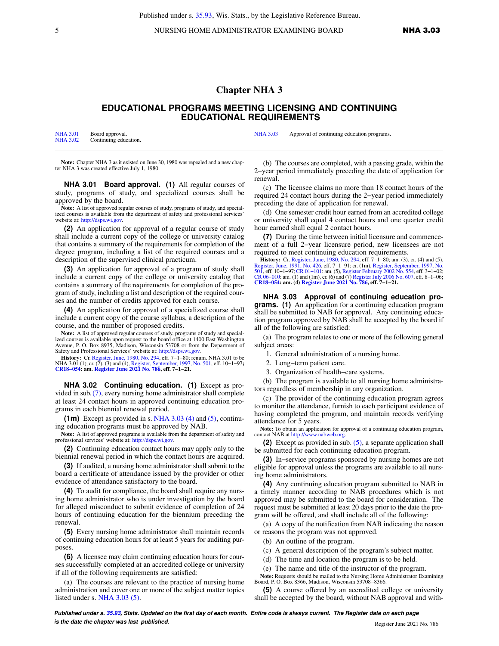5 NURSING HOME ADMINISTRATOR EXAMINING BOARD **NHA 3.03** 

## **Chapter NHA 3**

## **EDUCATIONAL PROGRAMS MEETING LICENSING AND CONTINUING EDUCATIONAL REQUIREMENTS**

| <b>NHA 3.01</b> | Board approval.       |
|-----------------|-----------------------|
| <b>NHA 3.02</b> | Continuing education. |

[NHA 3.03](https://docs.legis.wisconsin.gov/document/administrativecode/NHA%203.03) Approval of continuing education programs.

**Note:** Chapter NHA 3 as it existed on June 30, 1980 was repealed and a new chap-ter NHA 3 was created effective July 1, 1980.

**NHA 3.01 Board approval. (1)** All regular courses of study, programs of study, and specialized courses shall be approved by the board.

**Note:** A list of approved regular courses of study, programs of study, and specialized courses is available from the department of safety and professional services' website at: [http://dsps.wi.gov.](http://dsps.wi.gov)

**(2)** An application for approval of a regular course of study shall include a current copy of the college or university catalog that contains a summary of the requirements for completion of the degree program, including a list of the required courses and a description of the supervised clinical practicum.

**(3)** An application for approval of a program of study shall include a current copy of the college or university catalog that contains a summary of the requirements for completion of the program of study, including a list and description of the required courses and the number of credits approved for each course.

**(4)** An application for approval of a specialized course shall include a current copy of the course syllabus, a description of the course, and the number of proposed credits.

**Note:** A list of approved regular courses of study, programs of study and specialized courses is available upon request to the board office at 1400 East Washington Avenue, P. O. Box 8935, Madison, Wisconsin 53708 or from the Department of Safety and Professional Services' website at: [http://dsps.wi.gov.](http://dsps.wi.gov)

**History:** Cr. [Register, June, 1980, No. 294](https://docs.legis.wisconsin.gov/document/register/294/B/toc), eff. 7−1−80; renum. NHA 3.01 to be NHA 3.01 (1), cr. (2), (3) and (4), [Register, September, 1997, No. 501](https://docs.legis.wisconsin.gov/document/register/501/B/toc), eff. 10−1−97**; [CR18−054:](https://docs.legis.wisconsin.gov/document/cr/2018/54) am. [Register June 2021 No. 786](https://docs.legis.wisconsin.gov/document/register/786/B/toc), eff. 7−1−21.**

**NHA 3.02 Continuing education. (1)** Except as provided in sub.[\(7\)](https://docs.legis.wisconsin.gov/document/administrativecode/NHA%203.02(7)), every nursing home administrator shall complete at least 24 contact hours in approved continuing education programs in each biennial renewal period.

**(1m)** Except as provided in s. [NHA 3.03 \(4\)](https://docs.legis.wisconsin.gov/document/administrativecode/NHA%203.03(4)) and [\(5\),](https://docs.legis.wisconsin.gov/document/administrativecode/NHA%203.03(5)) continuing education programs must be approved by NAB.

**Note:** A list of approved programs is available from the department of safety and professional services' website at:<http://dsps.wi.gov>.

**(2)** Continuing education contact hours may apply only to the biennial renewal period in which the contact hours are acquired.

**(3)** If audited, a nursing home administrator shall submit to the board a certificate of attendance issued by the provider or other evidence of attendance satisfactory to the board.

**(4)** To audit for compliance, the board shall require any nursing home administrator who is under investigation by the board for alleged misconduct to submit evidence of completion of 24 hours of continuing education for the biennium preceding the renewal.

**(5)** Every nursing home administrator shall maintain records of continuing education hours for at least 5 years for auditing purposes.

**(6)** A licensee may claim continuing education hours for courses successfully completed at an accredited college or university if all of the following requirements are satisfied:

(a) The courses are relevant to the practice of nursing home administration and cover one or more of the subject matter topics listed under s. [NHA 3.03 \(5\)](https://docs.legis.wisconsin.gov/document/administrativecode/NHA%203.03(5)).

(b) The courses are completed, with a passing grade, within the 2−year period immediately preceding the date of application for renewal.

(c) The licensee claims no more than 18 contact hours of the required 24 contact hours during the 2−year period immediately preceding the date of application for renewal.

(d) One semester credit hour earned from an accredited college or university shall equal 4 contact hours and one quarter credit hour earned shall equal 2 contact hours.

**(7)** During the time between initial licensure and commencement of a full 2−year licensure period, new licensees are not required to meet continuing education requirements.

**History:** Cr. [Register, June, 1980, No. 294,](https://docs.legis.wisconsin.gov/document/register/294/B/toc) eff. 7–1–80; am. (3), cr. (4) and (5), [Register, June, 1991, No. 426](https://docs.legis.wisconsin.gov/document/register/426/B/toc), eff. 7–1–91; cr. (1m), [Register, September, 1997, No.](https://docs.legis.wisconsin.gov/document/register/501/B/toc) [501,](https://docs.legis.wisconsin.gov/document/register/501/B/toc) eff. 01-1–97; cr. (1m), Register February 2002

**NHA 3.03 Approval of continuing education programs. (1)** An application for a continuing education program shall be submitted to NAB for approval. Any continuing education program approved by NAB shall be accepted by the board if all of the following are satisfied:

(a) The program relates to one or more of the following general subject areas:

1. General administration of a nursing home.

- 2. Long−term patient care.
- 3. Organization of health−care systems.

(b) The program is available to all nursing home administrators regardless of membership in any organization.

(c) The provider of the continuing education program agrees to monitor the attendance, furnish to each participant evidence of having completed the program, and maintain records verifying attendance for 5 years.

**Note:** To obtain an application for approval of a continuing education program, contact NAB at<http://www.nabweb.org>.

**(2)** Except as provided in sub. [\(5\)](https://docs.legis.wisconsin.gov/document/administrativecode/NHA%203.03(5)), a separate application shall be submitted for each continuing education program.

**(3)** In−service programs sponsored by nursing homes are not eligible for approval unless the programs are available to all nursing home administrators.

**(4)** Any continuing education program submitted to NAB in a timely manner according to NAB procedures which is not approved may be submitted to the board for consideration. The request must be submitted at least 20 days prior to the date the program will be offered, and shall include all of the following:

(a) A copy of the notification from NAB indicating the reason or reasons the program was not approved.

(b) An outline of the program.

(c) A general description of the program's subject matter.

(d) The time and location the program is to be held.

(e) The name and title of the instructor of the program.

**Note:** Requests should be mailed to the Nursing Home Administrator Examining Board, P. O. Box 8366, Madison, Wisconsin 53708−8366.

**(5)** A course offered by an accredited college or university shall be accepted by the board, without NAB approval and with-

**Published under s. [35.93,](https://docs.legis.wisconsin.gov/document/statutes/35.93) Stats. Updated on the first day of each month. Entire code is always current. The Register date on each page is the date the chapter was last published. is the date the chapter was last published.** Register June 2021 No. 786